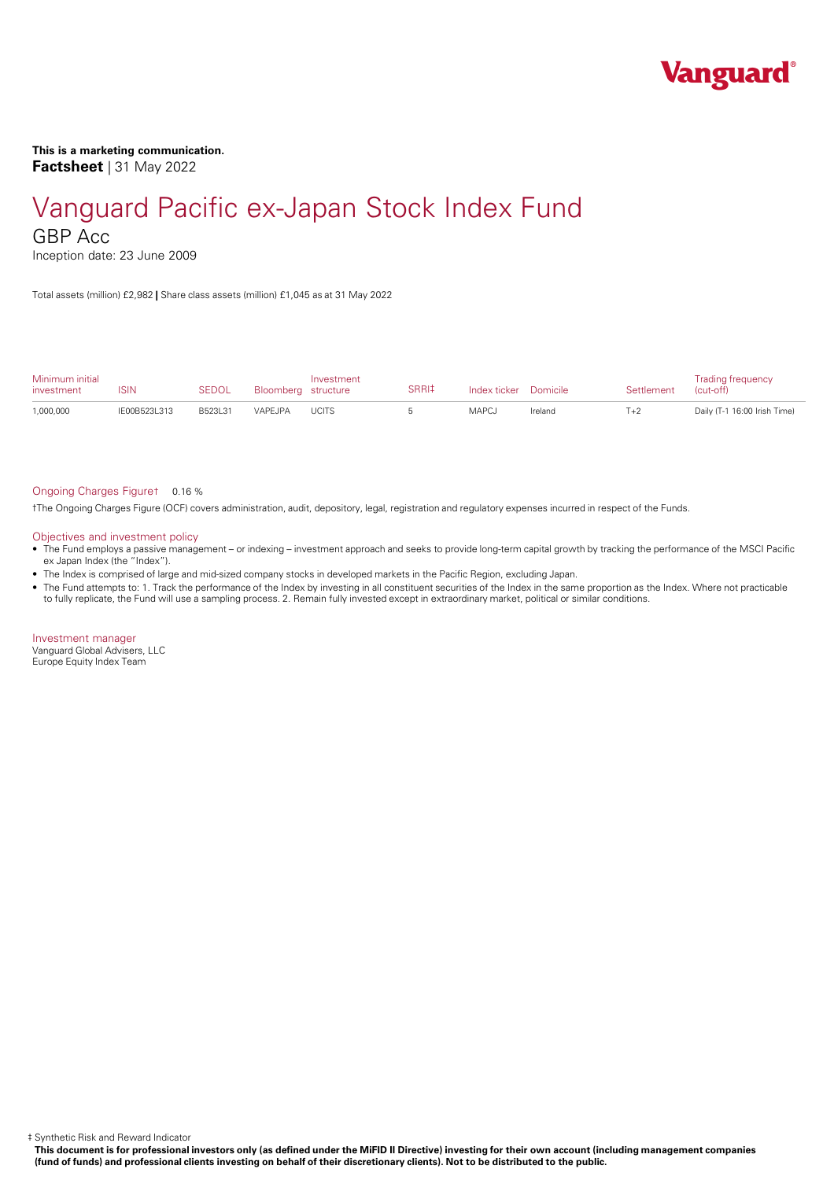

### **This is a marketing communication. Factsheet** | 31 May 2022

# Vanguard Pacific ex-Japan Stock Index Fund

GBP Acc

Inception date: 23 June 2009

Total assets (million) £2,982 **|** Share class assets (million) £1,045 as at 31 May 2022

| Minimum initial<br>investment | ISIN         | <b>SEDOL</b> | Bloomberg structure | Investment   | SRRI‡ | Index ticker Domicile |         | Settlement | <b>Trading frequency</b><br>(cut-off) |
|-------------------------------|--------------|--------------|---------------------|--------------|-------|-----------------------|---------|------------|---------------------------------------|
| 1,000,000                     | IE00B523L313 | B523L31      | VAPFJPA             | <b>UCITS</b> |       | MAPCJ                 | Ireland | $T+2$      | Daily (T-1 16:00 Irish Time)          |

#### Ongoing Charges Figure† 0.16 %

†The Ongoing Charges Figure (OCF) covers administration, audit, depository, legal, registration and regulatory expenses incurred in respect of the Funds.

#### Objectives and investment policy

- The Fund employs a passive management orindexing investment approach and seeks to provide long-term capital growth by tracking the performance of the MSCI Pacific ex Japan Index (the "Index").
- The Index is comprised of large and mid-sized company stocks in developed markets in the Pacific Region, excluding Japan.
- The Fund attempts to: 1. Track the performance of the Index by investing in all constituent securities of the Index in the same proportion as the Index. Where not practicable to fully replicate, the Fund will use a sampling process. 2. Remain fully invested except in extraordinary market, political or similar conditions.

Investment manager Vanguard Global Advisers, LLC Europe Equity Index Team

‡ Synthetic Risk and Reward Indicator

This document is for professional investors only (as defined under the MiFID II Directive) investing for their own account (including management companies (fund of funds) and professional clients investing on behalf of their discretionary clients). Not to be distributed to the public.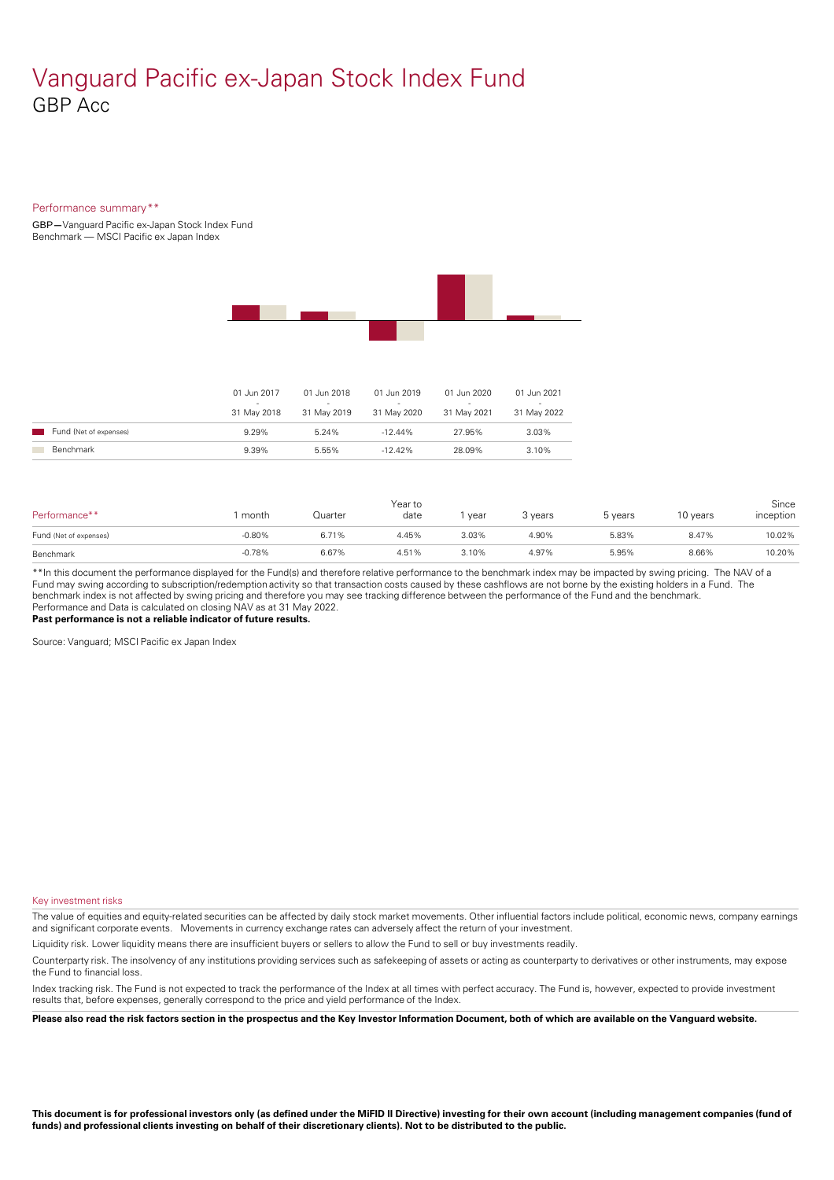### Vanguard Pacific ex-Japan Stock Index Fund GBP Acc

#### Performance summary\*\*

GBP**—**Vanguard Pacific ex-Japan Stock Index Fund Benchmark — MSCI Pacific ex Japan Index



|                        | 01 Jun 2017<br>31 May 2018 | 01 Jun 2018<br>$\sim$<br>31 May 2019 | 01 Jun 2019<br>-<br>31 May 2020 | 01 Jun 2020<br>31 May 2021 | 01 Jun 2021<br>31 May 2022 |
|------------------------|----------------------------|--------------------------------------|---------------------------------|----------------------------|----------------------------|
| Fund (Net of expenses) | 9.29%                      | 5.24%                                | $-12.44\%$                      | 27.95%                     | 3.03%                      |
| Benchmark              | 9.39%                      | 5.55%                                | $-12.42\%$                      | 28.09%                     | 3.10%                      |

| Performance**          | month    | Quarter | Year to<br>date | vear  | 3 years | 5 years | 10 years | Since<br>inception |
|------------------------|----------|---------|-----------------|-------|---------|---------|----------|--------------------|
| Fund (Net of expenses) | $-0.80%$ | 6.71%   | 4.45%           | 3.03% | 4.90%   | 5.83%   | 8.47%    | 10.02%             |
| Benchmark              | $-0.78%$ | 6.67%   | 4.51%           | 3.10% | 4.97%   | 5.95%   | 8.66%    | 10.20%             |

\*\*In this document the performance displayed for the Fund(s) and therefore relative performance to the benchmark index may be impacted by swing pricing. The NAV of a Fund may swing according to subscription/redemption activity so that transaction costs caused by these cashflows are notborne by the existing holders in a Fund. The benchmark index is not affected by swing pricing and therefore you may see tracking difference between the performance of the Fund and the benchmark. Performance and Data is calculated on closing NAV as at 31 May 2022.

**Past performance is not a reliable indicator of future results.**

Source: Vanguard; MSCI Pacific ex Japan Index

Key investment risks

The value of equities and equity-related securities can be affected by daily stock market movements. Other influential factors include political, economic news, company earnings and significant corporate events. Movements in currency exchange rates can adversely affect the return of your investment.

Liquidity risk. Lower liquidity means there are insufficient buyers or sellers to allow the Fund to sell or buy investments readily.

Counterparty risk. The insolvency ofany institutions providing services such as safekeeping of assets or acting as counterparty to derivatives or other instruments, may expose the Fund to financial loss.

Index tracking risk.The Fund is not expected to track the performance of the Index at all times with perfect accuracy. The Fund is, however, expected to provide investment results that, before expenses, generally correspond to the price and yield performance of the Index.

Please also read the risk factors section in the prospectus and the Key Investor Information Document, both of which are available on the Vanguard website.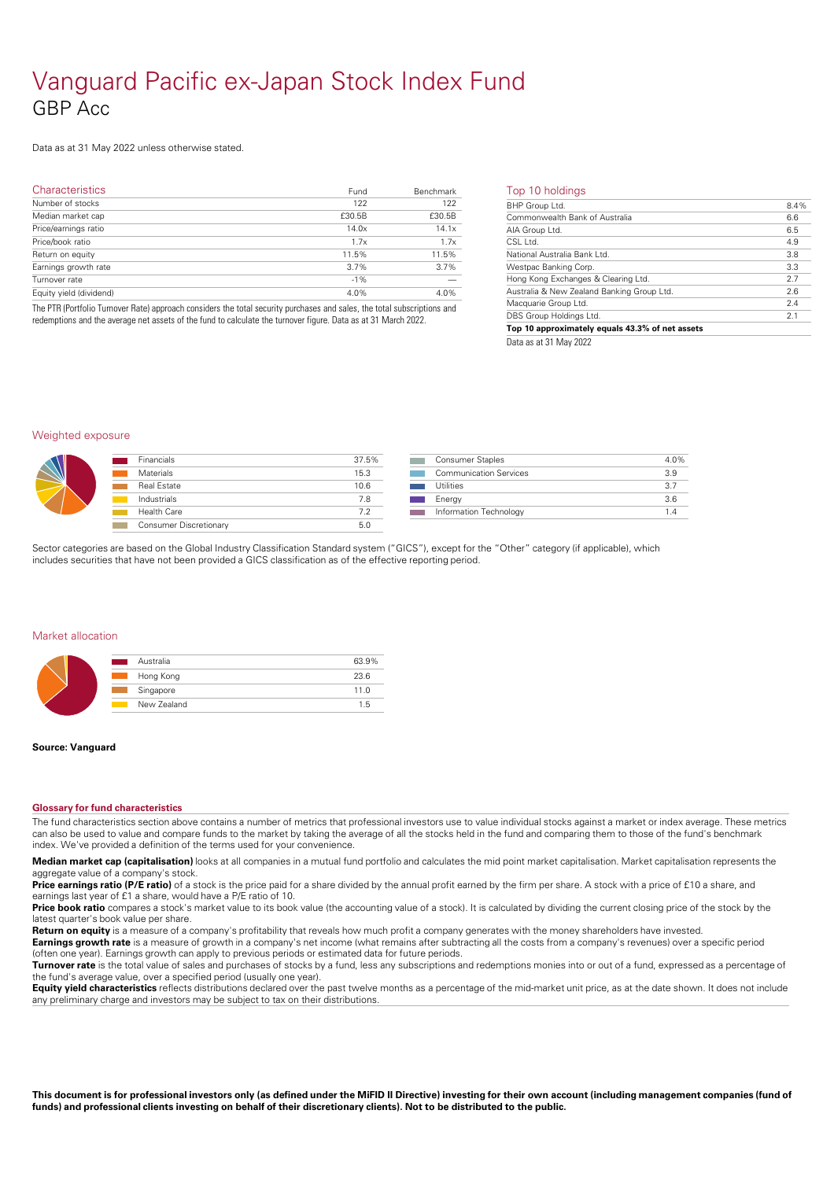## Vanguard Pacific ex-Japan Stock Index Fund GBP Acc

### Data as at 31 May 2022 unless otherwise stated.

| <b>Characteristics</b>  | Fund   | Benchmark | Тc              |
|-------------------------|--------|-----------|-----------------|
| Number of stocks        | 122    | 122       | BH              |
| Median market cap       | £30.5B | £30.5B    | $rac{5}{5}$     |
| Price/earnings ratio    | 14.0x  | 14.1x     |                 |
| Price/book ratio        | 1.7x   | 1.7x      | $rac{A}{CS}$    |
| Return on equity        | 11.5%  | 11.5%     | $\overline{Na}$ |
| Earnings growth rate    | 3.7%   | 3.7%      | Wε              |
| Turnover rate           | $-1%$  |           | Ho              |
| Equity yield (dividend) | 4.0%   | 4.0%      | Au:             |
|                         |        |           | . .             |

The PTR (Portfolio Turnover Rate) approach considers the total security purchases and sales, the total subscriptions and redemptions and the average net assets of the fund to calculate the turnover figure. Data as at 31 March 2022.

| Commonwealth Bank of Australia<br>6.6<br>6.5<br>AIA Group Ltd.<br>$CSI$ $Itd$ .<br>4.9<br>National Australia Bank Ltd.<br>3.8<br>3.3<br>Westpac Banking Corp.<br>Hong Kong Exchanges & Clearing Ltd.<br>2.7<br>2.6<br>Australia & New Zealand Banking Group Ltd.<br>Macquarie Group Ltd.<br>2.4<br>2.1<br>DBS Group Holdings Ltd. | BHP Group Ltd. | 8.4% |
|-----------------------------------------------------------------------------------------------------------------------------------------------------------------------------------------------------------------------------------------------------------------------------------------------------------------------------------|----------------|------|
|                                                                                                                                                                                                                                                                                                                                   |                |      |
|                                                                                                                                                                                                                                                                                                                                   |                |      |
|                                                                                                                                                                                                                                                                                                                                   |                |      |
|                                                                                                                                                                                                                                                                                                                                   |                |      |
|                                                                                                                                                                                                                                                                                                                                   |                |      |
|                                                                                                                                                                                                                                                                                                                                   |                |      |
|                                                                                                                                                                                                                                                                                                                                   |                |      |
|                                                                                                                                                                                                                                                                                                                                   |                |      |
|                                                                                                                                                                                                                                                                                                                                   |                |      |

Data as at 31 May 2022

#### Weighted exposure

| <b>Financials</b>      | 37.5% | <b>Consumer Staples</b>     |
|------------------------|-------|-----------------------------|
| Materials              | 15.3  | <b>Communication Servic</b> |
| <b>Real Estate</b>     | 10.6  | Utilities                   |
| Industrials            | 7.8   | Enerav                      |
| Health Care            | 7.2   | Information Technolog       |
| Consumer Discretionary | 5.0   |                             |
|                        |       |                             |

| <b>Consumer Staples</b>       | 4.0% |
|-------------------------------|------|
| <b>Communication Services</b> | 3.9  |
| Utilities                     | 37   |
| Energy                        | 36   |
| Information Technology        | 14   |
|                               |      |

Sector categories are based on the Global Industry Classification Standard system ("GICS"), except for the "Other" category (if applicable), which includes securities that have not been provided a GICS classification as of the effective reporting period.

#### Market allocation

| Australia<br>r 1                        | 63.9% |
|-----------------------------------------|-------|
| Hong Kong<br>$\mathcal{L}(\mathcal{L})$ | 23.6  |
| Singapore<br><b>Contract</b>            | 11.0  |
| New Zealand<br><b>Contract</b>          | 1.5   |
|                                         |       |

#### **Source: Vanguard**

#### **Glossary for fund characteristics**

The fund characteristics section above contains a number of metrics that professional investors use to value individual stocks against a market or index average. These metrics can also be used to value and compare funds to the market by taking the average of all the stocks held in the fund and comparing them to those of the fund's benchmark index. We've provided a definition of the terms used for your convenience.

**Median market cap (capitalisation)** looks at all companies in a mutual fund portfolio and calculates the mid point market capitalisation. Market capitalisation represents the aggregate value of a company's stock.

Price **earnings ratio (P/E ratio)** of a stock is the price paid for a share divided by the annual profit earned by the firm per share. A stock with a price of £10 a share, and earnings last year of £1 a share, would have a P/E ratio of 10.

Price book ratio compares a stock's market value to its book value (the accounting value of a stock). It is calculated by dividing the current closing price of the stock by the latest quarter's book value pershare.

**Return on equity** is a measure of a company's profitability that reveals how much profit a company generates with the money shareholders have invested. **Earnings growth rate** is a measure of growth in a company's net income (what remains after subtracting all the costs from a company's revenues) over a specific period (often one year). Earnings growth can apply to previous periods or estimated data for future periods.

**Turnover rate** is the total value of sales and purchases of stocks by a fund, less any subscriptions and redemptions monies into or out of a fund, expressed as a percentage of the fund's average value, over a specified period (usually one year).

**Equity yield characteristics** reflects distributions declared over the past twelve months as a percentage of the mid-market unit price, as at the date shown. It does not include any preliminary charge and investors may be subject to tax on their distributions.

This document is for professional investors only (as defined under the MiFID II Directive) investing for their own account (including management companies (fund of funds) and professional clients investing on behalf of their discretionary clients). Not to be distributed to the public.